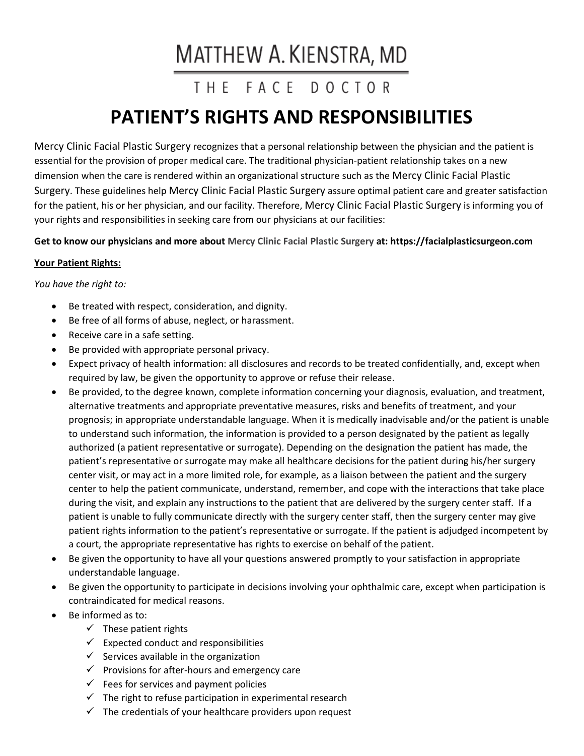# MATTHEW A. KIENSTRA, MD

### THE FACE DOCTOR

## **PATIENT'S RIGHTS AND RESPONSIBILITIES**

Mercy Clinic Facial Plastic Surgery recognizes that a personal relationship between the physician and the patient is essential for the provision of proper medical care. The traditional physician-patient relationship takes on a new dimension when the care is rendered within an organizational structure such as the Mercy Clinic Facial Plastic Surgery. These guidelines help Mercy Clinic Facial Plastic Surgery assure optimal patient care and greater satisfaction for the patient, his or her physician, and our facility. Therefore, Mercy Clinic Facial Plastic Surgery is informing you of your rights and responsibilities in seeking care from our physicians at our facilities:

**Get to know our physicians and more about Mercy Clinic Facial Plastic Surgery at: https://facialplasticsurgeon.com**

#### **Your Patient Rights:**

#### *You have the right to:*

- Be treated with respect, consideration, and dignity.
- Be free of all forms of abuse, neglect, or harassment.
- Receive care in a safe setting.
- Be provided with appropriate personal privacy.
- Expect privacy of health information: all disclosures and records to be treated confidentially, and, except when required by law, be given the opportunity to approve or refuse their release.
- Be provided, to the degree known, complete information concerning your diagnosis, evaluation, and treatment, alternative treatments and appropriate preventative measures, risks and benefits of treatment, and your prognosis; in appropriate understandable language. When it is medically inadvisable and/or the patient is unable to understand such information, the information is provided to a person designated by the patient as legally authorized (a patient representative or surrogate). Depending on the designation the patient has made, the patient's representative or surrogate may make all healthcare decisions for the patient during his/her surgery center visit, or may act in a more limited role, for example, as a liaison between the patient and the surgery center to help the patient communicate, understand, remember, and cope with the interactions that take place during the visit, and explain any instructions to the patient that are delivered by the surgery center staff. If a patient is unable to fully communicate directly with the surgery center staff, then the surgery center may give patient rights information to the patient's representative or surrogate. If the patient is adjudged incompetent by a court, the appropriate representative has rights to exercise on behalf of the patient.
- Be given the opportunity to have all your questions answered promptly to your satisfaction in appropriate understandable language.
- Be given the opportunity to participate in decisions involving your ophthalmic care, except when participation is contraindicated for medical reasons.
- Be informed as to:
	- $\checkmark$  These patient rights
	- $\checkmark$  Expected conduct and responsibilities
	- $\checkmark$  Services available in the organization
	- $\checkmark$  Provisions for after-hours and emergency care
	- $\checkmark$  Fees for services and payment policies
	- $\checkmark$  The right to refuse participation in experimental research
	- $\checkmark$  The credentials of your healthcare providers upon request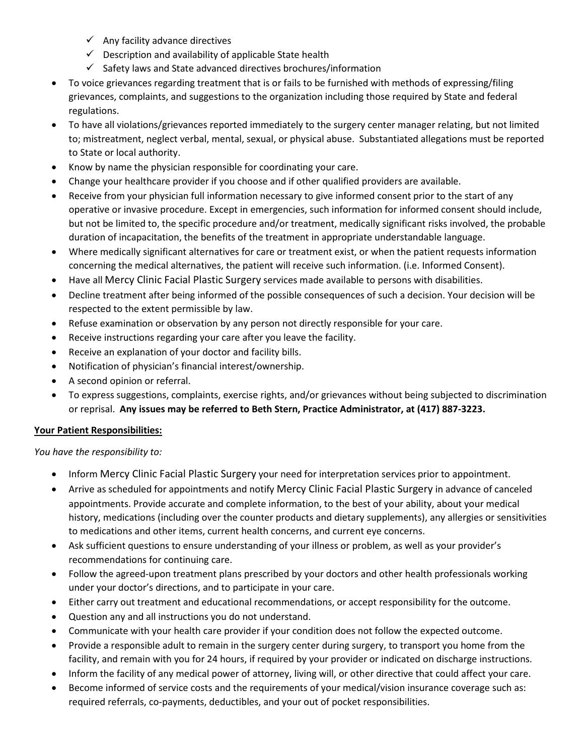- $\checkmark$  Any facility advance directives
- $\checkmark$  Description and availability of applicable State health
- $\checkmark$  Safety laws and State advanced directives brochures/information
- To voice grievances regarding treatment that is or fails to be furnished with methods of expressing/filing grievances, complaints, and suggestions to the organization including those required by State and federal regulations.
- To have all violations/grievances reported immediately to the surgery center manager relating, but not limited to; mistreatment, neglect verbal, mental, sexual, or physical abuse. Substantiated allegations must be reported to State or local authority.
- Know by name the physician responsible for coordinating your care.
- Change your healthcare provider if you choose and if other qualified providers are available.
- Receive from your physician full information necessary to give informed consent prior to the start of any operative or invasive procedure. Except in emergencies, such information for informed consent should include, but not be limited to, the specific procedure and/or treatment, medically significant risks involved, the probable duration of incapacitation, the benefits of the treatment in appropriate understandable language.
- Where medically significant alternatives for care or treatment exist, or when the patient requests information concerning the medical alternatives, the patient will receive such information. (i.e. Informed Consent).
- Have all Mercy Clinic Facial Plastic Surgery services made available to persons with disabilities.
- Decline treatment after being informed of the possible consequences of such a decision. Your decision will be respected to the extent permissible by law.
- Refuse examination or observation by any person not directly responsible for your care.
- Receive instructions regarding your care after you leave the facility.
- Receive an explanation of your doctor and facility bills.
- Notification of physician's financial interest/ownership.
- A second opinion or referral.
- To express suggestions, complaints, exercise rights, and/or grievances without being subjected to discrimination or reprisal. **Any issues may be referred to Beth Stern, Practice Administrator, at (417) 887-3223.**

#### **Your Patient Responsibilities:**

#### *You have the responsibility to:*

- Inform Mercy Clinic Facial Plastic Surgery your need for interpretation services prior to appointment.
- Arrive as scheduled for appointments and notify Mercy Clinic Facial Plastic Surgery in advance of canceled appointments. Provide accurate and complete information, to the best of your ability, about your medical history, medications (including over the counter products and dietary supplements), any allergies or sensitivities to medications and other items, current health concerns, and current eye concerns.
- Ask sufficient questions to ensure understanding of your illness or problem, as well as your provider's recommendations for continuing care.
- Follow the agreed-upon treatment plans prescribed by your doctors and other health professionals working under your doctor's directions, and to participate in your care.
- Either carry out treatment and educational recommendations, or accept responsibility for the outcome.
- Question any and all instructions you do not understand.
- Communicate with your health care provider if your condition does not follow the expected outcome.
- Provide a responsible adult to remain in the surgery center during surgery, to transport you home from the facility, and remain with you for 24 hours, if required by your provider or indicated on discharge instructions.
- Inform the facility of any medical power of attorney, living will, or other directive that could affect your care.
- Become informed of service costs and the requirements of your medical/vision insurance coverage such as: required referrals, co-payments, deductibles, and your out of pocket responsibilities.